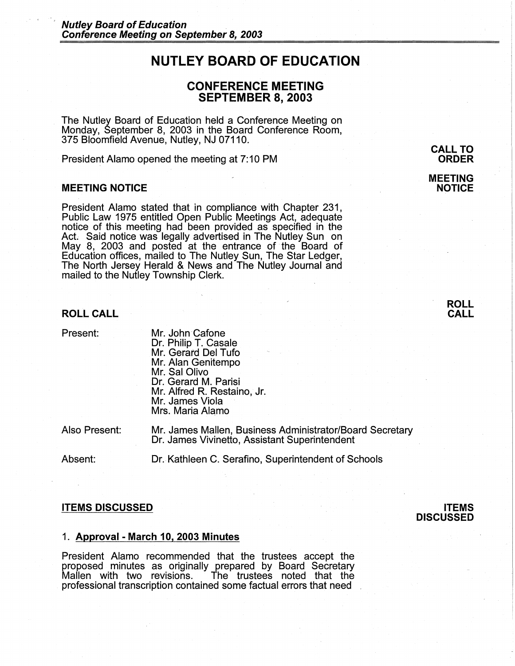# **NUTLEY BOARD OF EDUCATION**

# **CONFERENCE MEETING SEPTEMBER 8, 2003**

The Nutley Board of Education held a Conference Meeting on Monday, September 8, 2003 in the Board Conference Room, 375 Bloomfield Avenue, Nutley, NJ 07110.

President Alamo opened the meeting at 7: 10 PM

#### **MEETING NOTICE**

President Alamo stated that in compliance with Chapter 231, Public Law 1975 entitled Open Public Meetings Act, adequate notice of this meeting had been provided as specified in the Act. Said notice was legally advertised in The Nutley Sun on May 8, 2003 and posted at the entrance of the Board of Education offices, mailed to The Nutley Sun, The Star Ledger, The North Jersey Herald & News and The Nutley Journal and mailed to the Nutley Township Clerk.

#### **ROLL CALL**

Present:

Mr. John Cafone Dr. Philip T. Casale Mr. Gerard Del Tufo Mr. Alan Genitempo Mr. Sal Olivo Dr. Gerard M. Parisi Mr. Alfred R. Restaino, Jr. Mr. James Viola Mrs. Maria Alamo

Also Present:

Mr. James Mallen, Business Administrator/Board Secretary Dr. James Vivinetto, Assistant Superintendent

Absent:

Dr. Kathleen C. Serafino, Superintendent of Schools

#### **ITEMS DISCUSSED**

### **ITEMS DISCUSSED**

### 1. **Approval - March 10, 2003 Minutes**

President Alamo recommended that the trustees accept the proposed minutes as originally prepared by Board Secretary The trustees noted that the professional transcription contained some factual errors that need ,

**CALL TO ORDER** 

#### **MEETING NOTICE**

**ROLL CALL**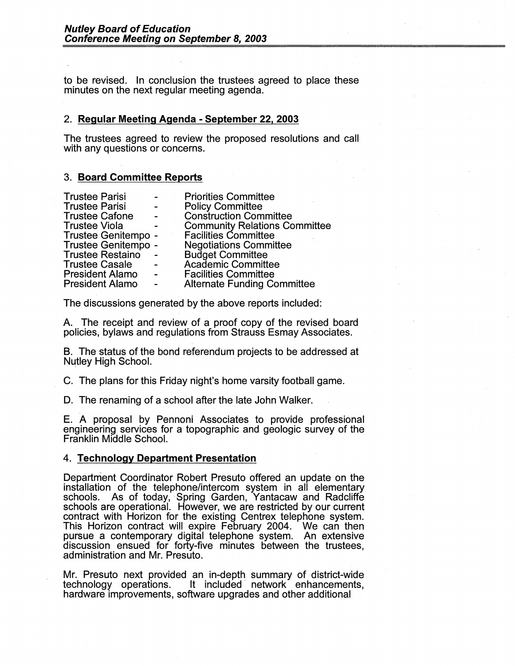to be revised. In conclusion the trustees agreed to place these minutes on the next regular meeting agenda.

### 2. **Regular Meeting Agenda - September 22, 2003**

The trustees agreed to review the proposed resolutions and call with any questions or concerns.

## 3. **Board Committee Reports**

| <b>Trustee Parisi</b>   |                 | <b>Priorities Committee</b>          |
|-------------------------|-----------------|--------------------------------------|
| <b>Trustee Parisi</b>   | $\sim 10^{-11}$ | <b>Policy Committee</b>              |
| <b>Trustee Cafone</b>   |                 | <b>Construction Committee</b>        |
| <b>Trustee Viola</b>    |                 | <b>Community Relations Committee</b> |
| Trustee Genitempo -     |                 | <b>Facilities Committee</b>          |
| Trustee Genitempo -     |                 | <b>Negotiations Committee</b>        |
| <b>Trustee Restaino</b> |                 | <b>Budget Committee</b>              |
| <b>Trustee Casale</b>   |                 | Academic Committee                   |
| <b>President Alamo</b>  | $\sim$          | <b>Facilities Committee</b>          |
| <b>President Alamo</b>  |                 | <b>Alternate Funding Committee</b>   |

The discussions generated by the above reports included:

A. The receipt and review of a proof copy of the revised board policies, bylaws and regulations from Strauss Esmay Associates.

B. The status of the bond referendum projects to be addressed at Nutley High School.

C. The plans for this Friday night's home varsity football game.

D. The renaming of a school after the late John Walker.

E. A proposal by Pennoni Associates to provide professional engineering services for a topographic and geologic survey of the Franklin Middle School.

# 4. **Technology Department Presentation**

Department Coordinator Robert Presuto offered an update on the installation of the telephone/intercom system in all elementary schools. As of today, Spring Garden, Yantacaw and Radcliffe schools are operational. However, we are restricted by our current contract with Horizon for the existing Centrex telephone system. This Horizon contract will expire February 2004. We can then pursue a contemporary digital telephone system. An extensive discussion ensued for forty-five minutes between the trustees, administration and Mr. Presuto.

Mr. Presuto next provided an in-depth summary of district-wide technology operations. It included network enhancements, hardware improvements, software upgrades and other additional